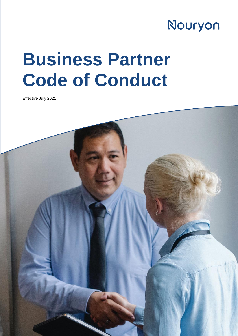## Nouryon

## **Business Partner Code of Conduct**

Effective July 2021

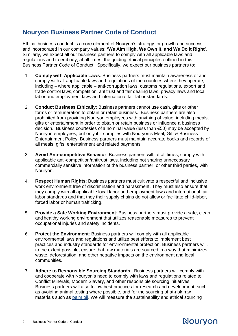## **Nouryon Business Partner Code of Conduct**

Ethical business conduct is a core element of Nouryon's strategy for growth and success and incorporated in our company values: **'We Aim High, We Own It, and We Do it Right'**. Similarly, we expect all our business partners to comply with all applicable laws and regulations and to embody, at all times, the guiding ethical principles outlined in this Business Partner Code of Conduct. Specifically, we expect our business partners to:

- 1. **Comply with Applicable Laws**. Business partners must maintain awareness of and comply with all applicable laws and regulations of the countries where they operate, including – where applicable – anti-corruption laws, customs regulations, export and trade control laws, competition, antitrust and fair dealing laws, privacy laws and local labor and employment laws and international fair labor standards.
- 2. **Conduct Business Ethically**: Business partners cannot use cash, gifts or other forms or remuneration to obtain or retain business. Business partners are also prohibited from providing Nouryon employees with anything of value, including meals, gifts or entertainment in order to obtain or retain business or influence a business decision. Business courtesies of a nominal value (less than €50) may be accepted by Nouryon employees, but only if it complies with Nouryon's Meal, Gift & Business Entertainment Policy. Business partners must maintain accurate books and records of all meals, gifts, entertainment and related payments.
- 3. **Avoid Anti-competitive Behavior**: Business partners will, at all times, comply with applicable anti-competition/antitrust laws, including not sharing unnecessary commercially sensitive information of the business partner, or other third parties, with Nouryon.
- 4. **Respect Human Rights**: Business partners must cultivate a respectful and inclusive work environment free of discrimination and harassment. They must also ensure that they comply with all applicable local labor and employment laws and international fair labor standards and that they their supply chains do not allow or facilitate child-labor, forced labor or human trafficking.
- 5. **Provide a Safe Working Environment**: Business partners must provide a safe, clean and healthy working environment that utilizes reasonable measures to prevent occupational injuries and safety incidents.
- 6. **Protect the Environment**: Business partners will comply with all applicable environmental laws and regulations and utilize best efforts to implement best practices and industry standards for environmental protection. Business partners will, to the extent possible, ensure that raw materials are sourced in a way that minimizes waste, deforestation, and other negative impacts on the environment and local communities.
- 7. **Adhere to Responsible Sourcing Standards**: Business partners will comply with and cooperate with Nouryon's need to comply with laws and regulations related to Conflict Minerals, Modern Slavery, and other responsible sourcing initiatives. Business partners will also follow best practices for research and development, such as avoiding animal testing where possible, and for the sourcing of at-risk raw materials such as [palm oil.](https://www.nouryon.com/globalassets/nouryon/4.-company/4.-sustainability/downloads/nouryon---rspo-statement-2021.pdf) We will measure the sustainability and ethical sourcing

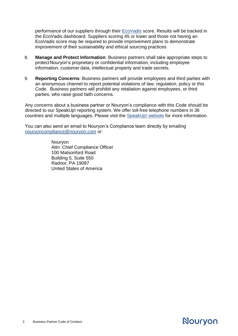performance of our suppliers through their [EcoVadis](https://ecovadis.com/) score. Results will be tracked in the EcoVadis dashboard. Suppliers scoring 45 or lower and those not having an EcoVadis score may be required to provide improvement plans to demonstrate improvement of their sustainability and ethical sourcing practices

- 8. **Manage and Protect Information**: Business partners shall take appropriate steps to protectNouryon's proprietary or confidential information, including employee information, customer data, intellectual property and trade secrets.
- 9. **Reporting Concerns**: Business partners will provide employees and third parties with an anonymous channel to report potential violations of law, regulation, policy or this Code. Business partners will prohibit any retaliation against employees, or third parties, who raise good faith concerns.

Any concerns about a business partner or Nouryon's compliance with this Code should be directed to our SpeakUp! reporting system. We offer toll-free telephone numbers in 36 countries and multiple languages. Please visit the [SpeakUp! website](https://secure.ethicspoint.com/domain/media/en/gui/74611/index.html) for more information.

You can also send an email to Nouryon's Compliance team directly by emailing [nouryoncompliance@nouryon.com](mailto:nouryoncompliance@nouryon.com) or:

> **Nourvon** Attn: Chief Compliance Officer 100 Matsonford Road Building 5, Suite 550 Radnor, PA 19087 United States of America